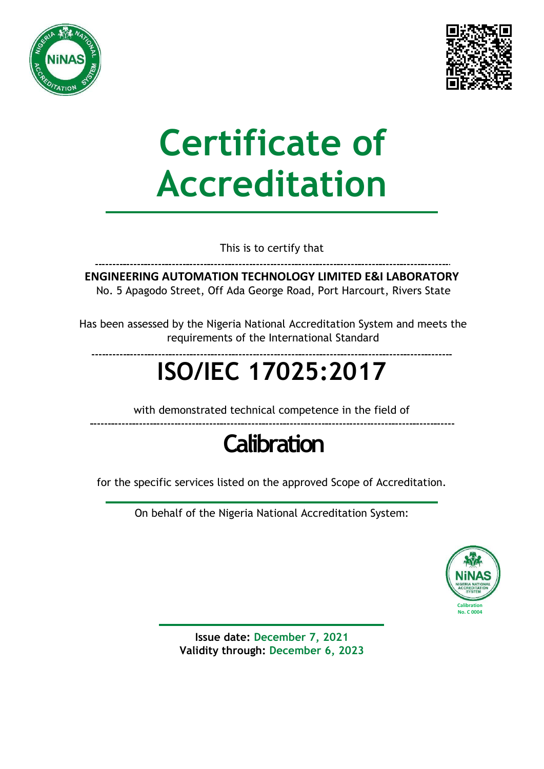



# **Certificate of Accreditation**

This is to certify that

**ENGINEERING AUTOMATION TECHNOLOGY LIMITED E&I LABORATORY** No. 5 Apagodo Street, Off Ada George Road, Port Harcourt, Rivers State

Has been assessed by the Nigeria National Accreditation System and meets the requirements of the International Standard

## **ISO/IEC 17025:2017**

with demonstrated technical competence in the field of

### **Calibration**

for the specific services listed on the approved Scope of Accreditation.

On behalf of the Nigeria National Accreditation System:



**Issue date: December 7, 2021 Validity through: December 6, 2023**